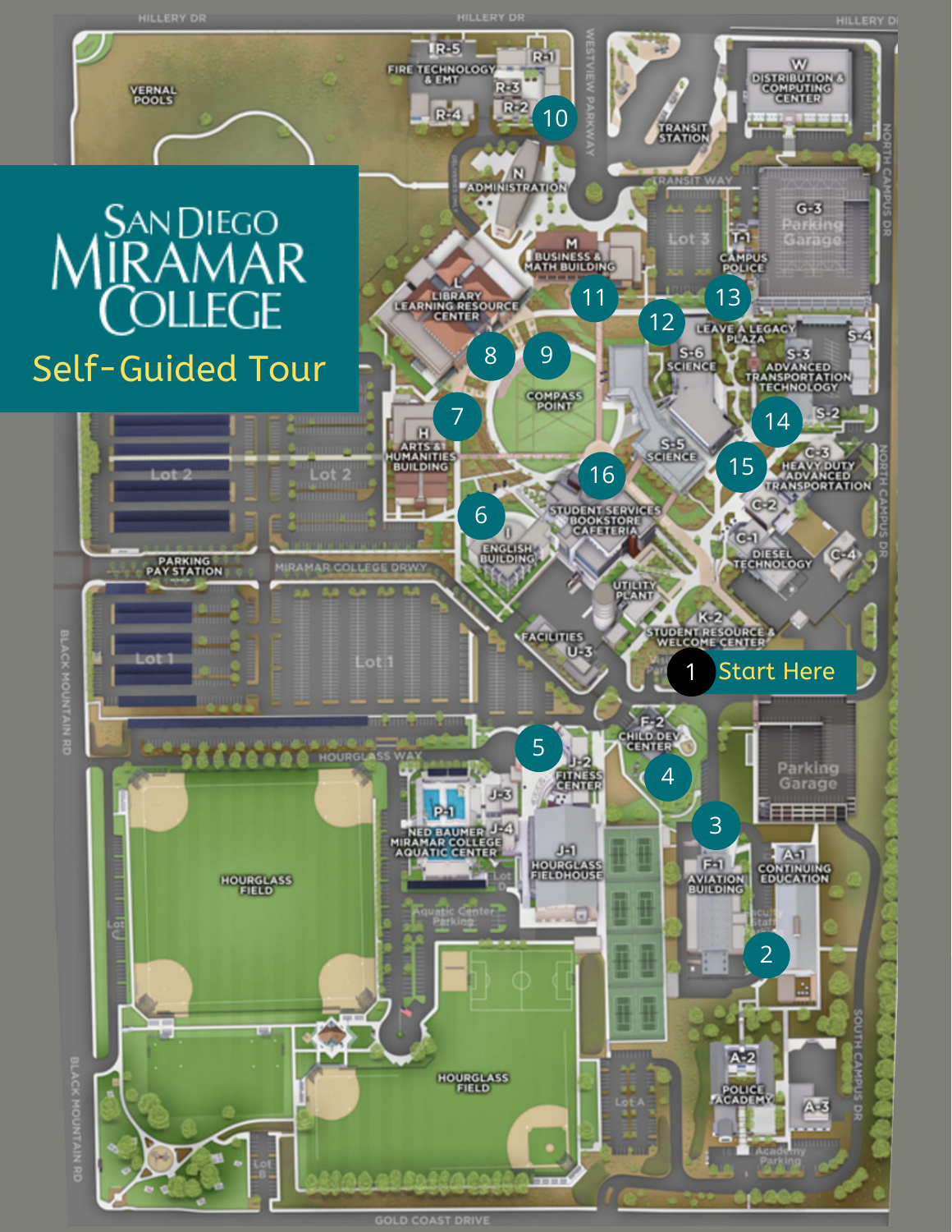